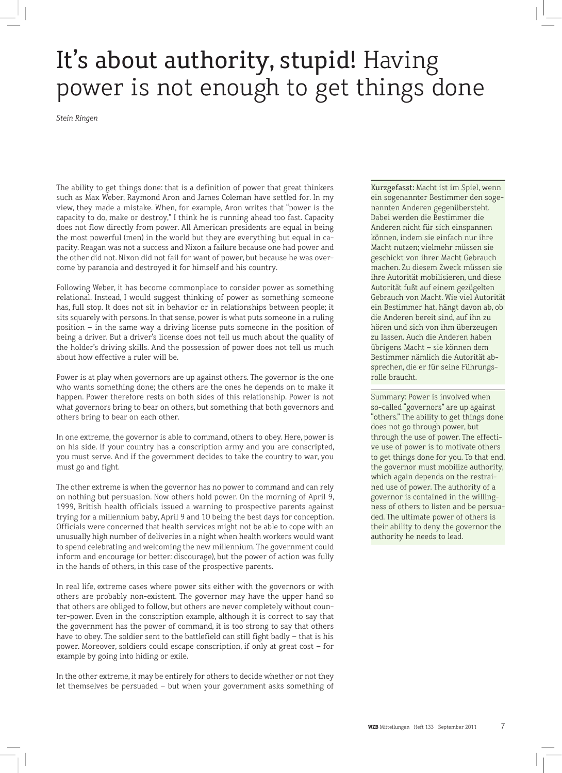## It's about authority, stupid! Having power is not enough to get things done

*Stein Ringen*

The ability to get things done: that is a definition of power that great thinkers such as Max Weber, Raymond Aron and James Coleman have settled for. In my view, they made a mistake. When, for example, Aron writes that "power is the capacity to do, make or destroy," I think he is running ahead too fast. Capacity does not flow directly from power. All American presidents are equal in being the most powerful (men) in the world but they are everything but equal in capacity. Reagan was not a success and Nixon a failure because one had power and the other did not. Nixon did not fail for want of power, but because he was overcome by paranoia and destroyed it for himself and his country.

Following Weber, it has become commonplace to consider power as something relational. Instead, I would suggest thinking of power as something someone has, full stop. It does not sit in behavior or in relationships between people; it sits squarely with persons. In that sense, power is what puts someone in a ruling position – in the same way a driving license puts someone in the position of being a driver. But a driver's license does not tell us much about the quality of the holder's driving skills. And the possession of power does not tell us much about how effective a ruler will be.

Power is at play when governors are up against others. The governor is the one who wants something done; the others are the ones he depends on to make it happen. Power therefore rests on both sides of this relationship. Power is not what governors bring to bear on others, but something that both governors and others bring to bear on each other.

In one extreme, the governor is able to command, others to obey. Here, power is on his side. If your country has a conscription army and you are conscripted, you must serve. And if the government decides to take the country to war, you must go and fight.

The other extreme is when the governor has no power to command and can rely on nothing but persuasion. Now others hold power. On the morning of April 9, 1999, British health officials issued a warning to prospective parents against trying for a millennium baby, April 9 and 10 being the best days for conception. Officials were concerned that health services might not be able to cope with an unusually high number of deliveries in a night when health workers would want to spend celebrating and welcoming the new millennium. The government could inform and encourage (or better: discourage), but the power of action was fully in the hands of others, in this case of the prospective parents.

In real life, extreme cases where power sits either with the governors or with others are probably non-existent. The governor may have the upper hand so that others are obliged to follow, but others are never completely without counter-power. Even in the conscription example, although it is correct to say that the government has the power of command, it is too strong to say that others have to obey. The soldier sent to the battlefield can still fight badly – that is his power. Moreover, soldiers could escape conscription, if only at great cost – for example by going into hiding or exile.

In the other extreme, it may be entirely for others to decide whether or not they let themselves be persuaded – but when your government asks something of

Kurzgefasst: Macht ist im Spiel, wenn ein sogenannter Bestimmer den sogenannten Anderen gegenübersteht. Dabei werden die Bestimmer die Anderen nicht für sich einspannen können, indem sie einfach nur ihre Macht nutzen; vielmehr müssen sie geschickt von ihrer Macht Gebrauch machen. Zu diesem Zweck müssen sie ihre Autorität mobilisieren, und diese Autorität fußt auf einem gezügelten Gebrauch von Macht. Wie viel Autorität ein Bestimmer hat, hängt davon ab, ob die Anderen bereit sind, auf ihn zu hören und sich von ihm überzeugen zu lassen. Auch die Anderen haben übrigens Macht – sie können dem Bestimmer nämlich die Autorität absprechen, die er für seine Führungsrolle braucht.

Summary: Power is involved when so-called "governors" are up against "others." The ability to get things done does not go through power, but through the use of power. The effective use of power is to motivate others to get things done for you. To that end, the governor must mobilize authority, which again depends on the restrained use of power. The authority of a governor is contained in the willingness of others to listen and be persuaded. The ultimate power of others is their ability to deny the governor the authority he needs to lead.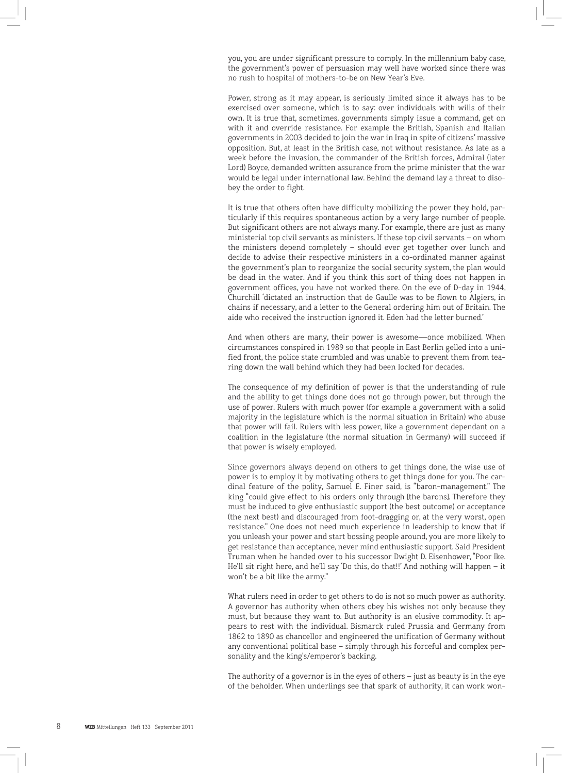you, you are under significant pressure to comply. In the millennium baby case, the government's power of persuasion may well have worked since there was no rush to hospital of mothers-to-be on New Year's Eve.

Power, strong as it may appear, is seriously limited since it always has to be exercised over someone, which is to say: over individuals with wills of their own. It is true that, sometimes, governments simply issue a command, get on with it and override resistance. For example the British, Spanish and Italian governments in 2003 decided to join the war in Iraq in spite of citizens' massive opposition. But, at least in the British case, not without resistance. As late as a week before the invasion, the commander of the British forces, Admiral (later Lord) Boyce, demanded written assurance from the prime minister that the war would be legal under international law. Behind the demand lay a threat to disobey the order to fight.

It is true that others often have difficulty mobilizing the power they hold, particularly if this requires spontaneous action by a very large number of people. But significant others are not always many. For example, there are just as many ministerial top civil servants as ministers. If these top civil servants – on whom the ministers depend completely – should ever get together over lunch and decide to advise their respective ministers in a co-ordinated manner against the government's plan to reorganize the social security system, the plan would be dead in the water. And if you think this sort of thing does not happen in government offices, you have not worked there. On the eve of D-day in 1944, Churchill 'dictated an instruction that de Gaulle was to be flown to Algiers, in chains if necessary, and a letter to the General ordering him out of Britain. The aide who received the instruction ignored it. Eden had the letter burned.'

And when others are many, their power is awesome—once mobilized. When circumstances conspired in 1989 so that people in East Berlin gelled into a unified front, the police state crumbled and was unable to prevent them from tearing down the wall behind which they had been locked for decades.

The consequence of my definition of power is that the understanding of rule and the ability to get things done does not go through power, but through the use of power. Rulers with much power (for example a government with a solid majority in the legislature which is the normal situation in Britain) who abuse that power will fail. Rulers with less power, like a government dependant on a coalition in the legislature (the normal situation in Germany) will succeed if that power is wisely employed.

Since governors always depend on others to get things done, the wise use of power is to employ it by motivating others to get things done for you. The cardinal feature of the polity, Samuel E. Finer said, is "baron-management." The king "could give effect to his orders only through [the barons]. Therefore they must be induced to give enthusiastic support (the best outcome) or acceptance (the next best) and discouraged from foot-dragging or, at the very worst, open resistance." One does not need much experience in leadership to know that if you unleash your power and start bossing people around, you are more likely to get resistance than acceptance, never mind enthusiastic support. Said President Truman when he handed over to his successor Dwight D. Eisenhower, "Poor Ike. He'll sit right here, and he'll say 'Do this, do that!!' And nothing will happen – it won't be a bit like the army."

What rulers need in order to get others to do is not so much power as authority. A governor has authority when others obey his wishes not only because they must, but because they want to. But authority is an elusive commodity. It appears to rest with the individual. Bismarck ruled Prussia and Germany from 1862 to 1890 as chancellor and engineered the unification of Germany without any conventional political base – simply through his forceful and complex personality and the king's/emperor's backing.

The authority of a governor is in the eyes of others – just as beauty is in the eye of the beholder. When underlings see that spark of authority, it can work won